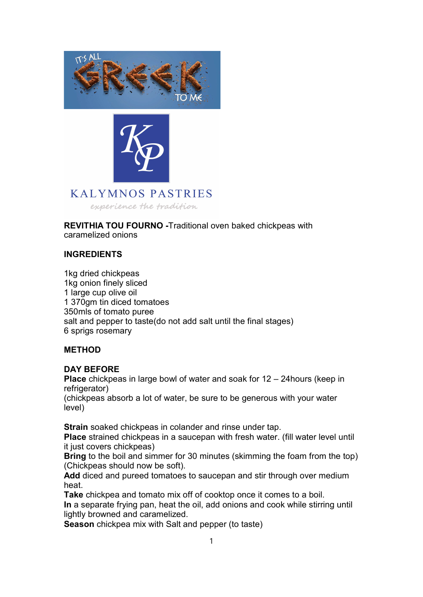



## **KALYMNOS PASTRIES**

experience the tradition

REVITHIA TOU FOURNO -Traditional oven baked chickpeas with caramelized onions

## INGREDIENTS

1kg dried chickpeas 1kg onion finely sliced 1 large cup olive oil 1 370gm tin diced tomatoes 350mls of tomato puree salt and pepper to taste(do not add salt until the final stages) 6 sprigs rosemary

## METHOD

## DAY BEFORE

Place chickpeas in large bowl of water and soak for 12 – 24hours (keep in refrigerator)

(chickpeas absorb a lot of water, be sure to be generous with your water level)

Strain soaked chickpeas in colander and rinse under tap.

Place strained chickpeas in a saucepan with fresh water. (fill water level until it just covers chickpeas)

Bring to the boil and simmer for 30 minutes (skimming the foam from the top) (Chickpeas should now be soft).

Add diced and pureed tomatoes to saucepan and stir through over medium heat.

Take chickpea and tomato mix off of cooktop once it comes to a boil. In a separate frying pan, heat the oil, add onions and cook while stirring until lightly browned and caramelized.

Season chickpea mix with Salt and pepper (to taste)